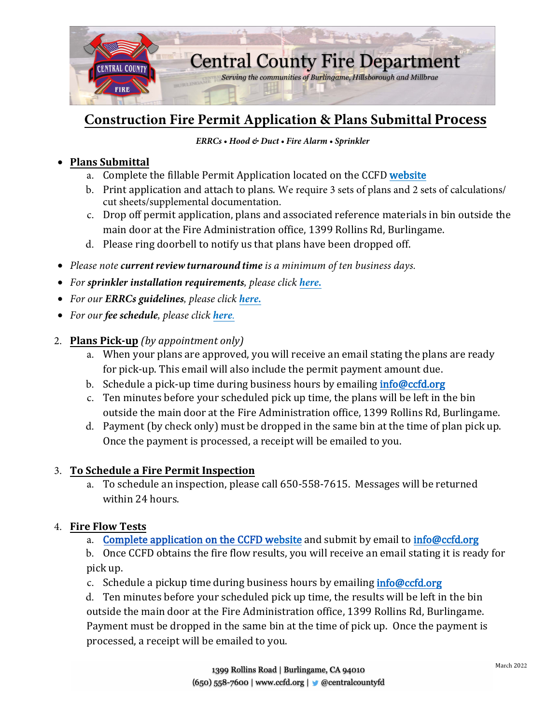

# **Construction Fire Permit Application & Plans Submittal Process**

#### *ERRCs • Hood & Duct • Fire Alarm • Sprinkler*

## • **Plans Submittal**

- a. Complete the fillable Permit Application located on the CCFD [website](https://ccfd.org/wp-content/uploads/2021/09/Construction-Permit-Application-rev-July-2021.pdf)
- b. Print application and attach to plans. We require 3 sets of plans and 2 sets of calculations/ cut sheets/supplemental documentation.
- c. Drop off permit application, plans and associated reference materials in bin outside the main door at the Fire Administration office, 1399 Rollins Rd, Burlingame.
- d. Please ring doorbell to notify us that plans have been dropped off.
- *Please note currentreviewturnaround time is a minimum of ten business days.*
- *For sprinkler installation requirements, please click [here.](https://ccfd.org/wp-content/uploads/2021/09/Fire-Sprinkler-Requirements-ALL.pdf)*
- *For our ERRCs guidelines, please click [here.](https://ccfd.org/wp-content/uploads/2021/03/ERRC-packet-final-2021.pdf)*
- *For our fee schedule, please click [here](https://ccfd.org/fire-prevention/fire-code-fees/).*
- 2. **Plans Pick-up** *(by appointment only)*
	- a. When your plans are approved, you will receive an email stating the plans are ready for pick-up. This email will also include the permit payment amount due.
	- b. Schedule a pick-up time during business hours by emailing *[info@ccfd.org](mailto:info@ccfd.org)*
	- c. Ten minutes before your scheduled pick up time, the plans will be left in the bin outside the main door at the Fire Administration office, 1399 Rollins Rd, Burlingame.
	- d. Payment (by check only) must be dropped in the same bin at the time of plan pick up. Once the payment is processed, a receipt will be emailed to you.

#### 3. **To Schedule a Fire Permit Inspection**

a. To schedule an inspection, please call 650-558-7615. Messages will be returned within 24 hours.

#### 4. **Fire Flow Tests**

a. [Complete application on the CCFD website](https://ccfd.org/wp-content/uploads/2022/03/CCFD-Fire-Flow-Test-2022-Fillable.pdf) and submit by email to [info@ccfd.org](mailto:info@ccfd.org)

b. Once CCFD obtains the fire flow results, you will receive an email stating it is ready for pick up.

c. Schedule a pickup time during business hours by emailing [info@ccfd.org](mailto:info@ccfd.org)

d. Ten minutes before your scheduled pick up time, the results will be left in the bin outside the main door at the Fire Administration office, 1399 Rollins Rd, Burlingame. Payment must be dropped in the same bin at the time of pick up. Once the payment is processed, a receipt will be emailed to you.